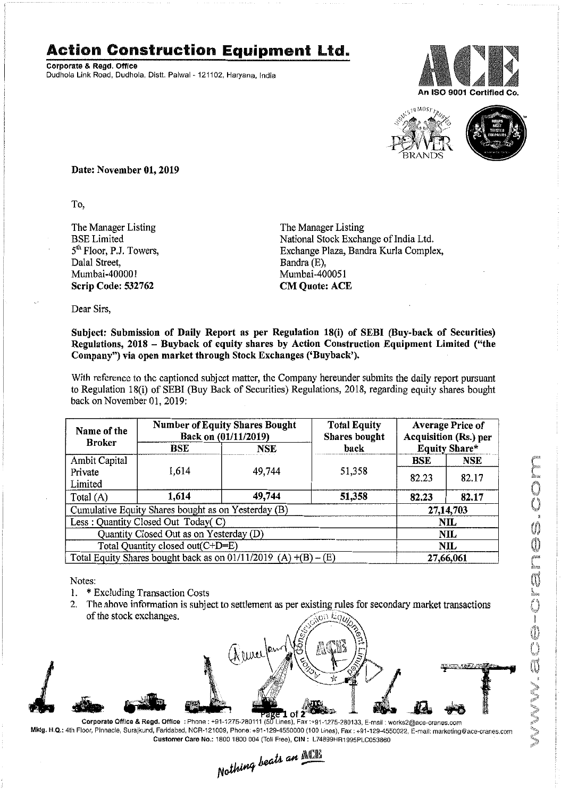## **Action Construction Equipment Ltd.**

Corporate & Regd. Office Dudhola Link Road, Dudhola. Distt. Palwal- 121102, Haryana, India





Date: November 01, 2019

To,

The Manager Listing BSE Limited 5<sup>th</sup> Floor, P.J. Towers, Dalal Street, Mumbai-400001 Scrip Code: 532762

The Manager Listing National Stock Exchange of India Ltd. Exchange Plaza, Bandra Kurla Complex, Bandra (E), Mumbai-400051 CM Quote: ACE

Dear Sirs,

## Subject: Submission of Daily Report as per Regulation 18(i) of SEBI (Buy-back of Securities) Regulations, 2018 - Buyback of equity shares by Action Construction Equipment Limited ("the Company") via open market through Stock Exchanges ('Buyback').

With reference to the captioned subject matter, the Company hereunder submits the daily report pursuant to Regulation 18(i) of SEBI (Buy Back of Securities) Regulations, 2018, regarding equity shares bought back on November 01,2019:

| Name of the<br><b>Broker</b>                                      | <b>Number of Equity Shares Bought</b><br>Back on (01/11/2019) |        | <b>Total Equity</b><br>Shares bought | <b>Average Price of</b><br><b>Acquisition (Rs.) per</b> |            |  |
|-------------------------------------------------------------------|---------------------------------------------------------------|--------|--------------------------------------|---------------------------------------------------------|------------|--|
|                                                                   | BSE                                                           | NSE    | back                                 | <b>Equity Share*</b>                                    |            |  |
| Ambit Capital                                                     |                                                               |        |                                      | <b>BSE</b>                                              | <b>NSE</b> |  |
| Private<br>Limited                                                | 1,614                                                         | 49,744 | 51,358                               | 82.23                                                   | 82.17      |  |
| Total (A)                                                         | 1,614                                                         | 49,744 | 51,358                               | 82,23                                                   | 82.17      |  |
| Cumulative Equity Shares bought as on Yesterday (B)               |                                                               |        |                                      |                                                         | 27,14,703  |  |
| Less: Quantity Closed Out Today(C)                                |                                                               |        |                                      | NIL.                                                    |            |  |
| Quantity Closed Out as on Yesterday (D)                           |                                                               |        |                                      | <b>NIL</b>                                              |            |  |
| Total Quantity closed out(C+D=E)                                  |                                                               |        |                                      | NIL                                                     |            |  |
| Total Equity Shares bought back as on $01/11/2019$ (A) +(B) – (E) |                                                               |        |                                      | 27,66,061                                               |            |  |

Notes:

- . \* Excluding Transaction Costs
- 2. The above information is subject to settlement as per existing rules for secondary market transactions of the stock exchanges .  $\overline{\omega}$ n E $\overline{q}_t$



Mktg. H.Q.: 4th Floor, Pinnacle, Surajkund, Faridabad, NCR-121009, Phone: +91-129-4550000 (100 Lines), Fax: +91-129-4550022,E-mail: marketing@ace.cranes.com

Customer Care No.: 1800 1800 004 (Toll Free), CIN: L74899HR1995PLC053860<br>Nathing beats an **ATT**